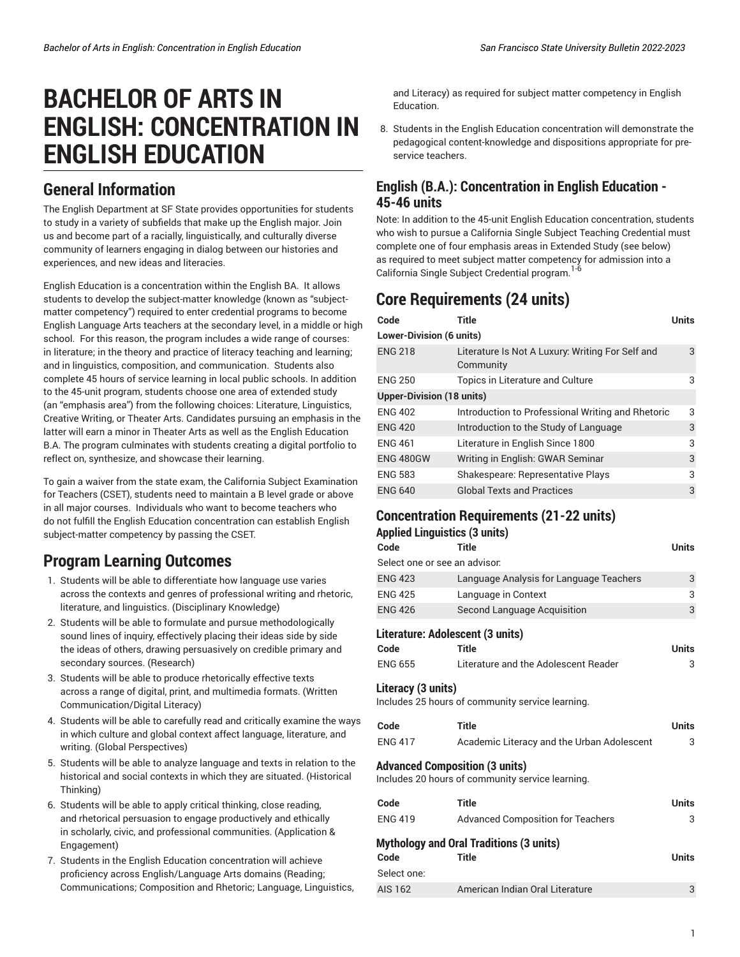# **BACHELOR OF ARTS IN ENGLISH: CONCENTRATION IN ENGLISH EDUCATION**

### **General Information**

The English Department at SF State provides opportunities for students to study in a variety of subfields that make up the English major. Join us and become part of a racially, linguistically, and culturally diverse community of learners engaging in dialog between our histories and experiences, and new ideas and literacies.

English Education is a concentration within the English BA. It allows students to develop the subject-matter knowledge (known as "subjectmatter competency") required to enter credential programs to become English Language Arts teachers at the secondary level, in a middle or high school. For this reason, the program includes a wide range of courses: in literature; in the theory and practice of literacy teaching and learning; and in linguistics, composition, and communication. Students also complete 45 hours of service learning in local public schools. In addition to the 45-unit program, students choose one area of extended study (an "emphasis area") from the following choices: Literature, Linguistics, Creative Writing, or Theater Arts. Candidates pursuing an emphasis in the latter will earn a minor in Theater Arts as well as the English Education B.A. The program culminates with students creating a digital portfolio to reflect on, synthesize, and showcase their learning.

To gain a waiver from the state exam, the California Subject Examination for Teachers (CSET), students need to maintain a B level grade or above in all major courses. Individuals who want to become teachers who do not fulfill the English Education concentration can establish English subject-matter competency by passing the CSET.

## **Program Learning Outcomes**

- 1. Students will be able to differentiate how language use varies across the contexts and genres of professional writing and rhetoric, literature, and linguistics. (Disciplinary Knowledge)
- 2. Students will be able to formulate and pursue methodologically sound lines of inquiry, effectively placing their ideas side by side the ideas of others, drawing persuasively on credible primary and secondary sources. (Research)
- 3. Students will be able to produce rhetorically effective texts across a range of digital, print, and multimedia formats. (Written Communication/Digital Literacy)
- 4. Students will be able to carefully read and critically examine the ways in which culture and global context affect language, literature, and writing. (Global Perspectives)
- 5. Students will be able to analyze language and texts in relation to the historical and social contexts in which they are situated. (Historical Thinking)
- 6. Students will be able to apply critical thinking, close reading, and rhetorical persuasion to engage productively and ethically in scholarly, civic, and professional communities. (Application & Engagement)
- 7. Students in the English Education concentration will achieve proficiency across English/Language Arts domains (Reading; Communications; Composition and Rhetoric; Language, Linguistics,

and Literacy) as required for subject matter competency in English Education.

8. Students in the English Education concentration will demonstrate the pedagogical content-knowledge and dispositions appropriate for preservice teachers.

### **English (B.A.): Concentration in English Education - 45-46 units**

Note: In addition to the 45-unit English Education concentration, students who wish to pursue a California Single Subject Teaching Credential must complete one of four emphasis areas in Extended Study (see below) as required to meet subject matter competency for admission into a California Single Subject Credential program. 1-6

# **Core Requirements (24 units)**

| Code                             | Title                                                         | Units |  |
|----------------------------------|---------------------------------------------------------------|-------|--|
| <b>Lower-Division (6 units)</b>  |                                                               |       |  |
| <b>ENG 218</b>                   | Literature Is Not A Luxury: Writing For Self and<br>Community | 3     |  |
| <b>ENG 250</b>                   | Topics in Literature and Culture                              | 3     |  |
| <b>Upper-Division (18 units)</b> |                                                               |       |  |
| <b>ENG 402</b>                   | Introduction to Professional Writing and Rhetoric             | 3     |  |
| <b>ENG 420</b>                   | Introduction to the Study of Language                         | 3     |  |
| <b>ENG 461</b>                   | Literature in English Since 1800                              | 3     |  |
| <b>ENG 480GW</b>                 | Writing in English: GWAR Seminar                              | 3     |  |
| <b>ENG 583</b>                   | Shakespeare: Representative Plays                             | 3     |  |
| <b>ENG 640</b>                   | <b>Global Texts and Practices</b>                             | 3     |  |

### **Concentration Requirements (21-22 units)**

|                               | <b>Applied Linguistics (3 units)</b>                                                      |              |
|-------------------------------|-------------------------------------------------------------------------------------------|--------------|
| Code                          | Title                                                                                     | <b>Units</b> |
| Select one or see an advisor. |                                                                                           |              |
| <b>ENG 423</b>                | Language Analysis for Language Teachers                                                   | 3            |
| <b>ENG 425</b>                | Language in Context                                                                       | 3            |
| <b>ENG 426</b>                | Second Language Acquisition                                                               | 3            |
|                               | Literature: Adolescent (3 units)                                                          |              |
| Code                          | <b>Title</b>                                                                              | <b>Units</b> |
| <b>ENG 655</b>                | Literature and the Adolescent Reader                                                      | 3            |
| Literacy (3 units)            | Includes 25 hours of community service learning.                                          |              |
| Code                          | <b>Title</b>                                                                              | <b>Units</b> |
| <b>ENG 417</b>                | Academic Literacy and the Urban Adolescent                                                | 3            |
|                               | <b>Advanced Composition (3 units)</b><br>Includes 20 hours of community service learning. |              |
| Code                          | <b>Title</b>                                                                              | <b>Units</b> |
| <b>ENG 419</b>                | <b>Advanced Composition for Teachers</b>                                                  | 3            |
| Code<br>Select one:           | <b>Mythology and Oral Traditions (3 units)</b><br><b>Title</b>                            | <b>Units</b> |
| AIS 162                       | American Indian Oral Literature                                                           | 3            |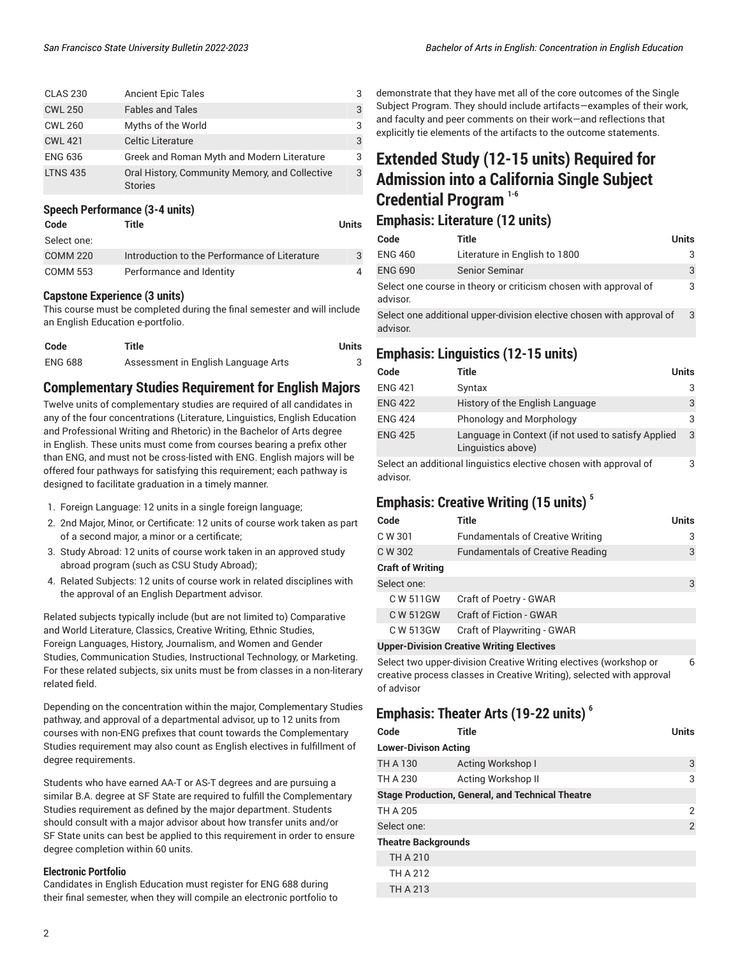| <b>Ancient Epic Tales</b>                                        | 3 |
|------------------------------------------------------------------|---|
| <b>Fables and Tales</b>                                          | 3 |
| Myths of the World                                               | 3 |
| <b>Celtic Literature</b>                                         | 3 |
| Greek and Roman Myth and Modern Literature                       | 3 |
| Oral History, Community Memory, and Collective<br><b>Stories</b> | 3 |
|                                                                  |   |

#### **Speech Performance (3-4 units)**

| Code            | Title                                         | Units |
|-----------------|-----------------------------------------------|-------|
| Select one:     |                                               |       |
| <b>COMM 220</b> | Introduction to the Performance of Literature | 3     |
| <b>COMM 553</b> | Performance and Identity                      | 4     |

#### **Capstone Experience (3 units)**

This course must be completed during the final semester and will include an English Education e-portfolio.

| Code           | Title                               | Units |
|----------------|-------------------------------------|-------|
| <b>ENG 688</b> | Assessment in English Language Arts |       |

#### **Complementary Studies Requirement for English Majors**

Twelve units of complementary studies are required of all candidates in any of the four concentrations (Literature, Linguistics, English Education and Professional Writing and Rhetoric) in the Bachelor of Arts degree in English. These units must come from courses bearing a prefix other than ENG, and must not be cross-listed with ENG. English majors will be offered four pathways for satisfying this requirement; each pathway is designed to facilitate graduation in a timely manner.

- 1. Foreign Language: 12 units in a single foreign language;
- 2. 2nd Major, Minor, or Certificate: 12 units of course work taken as part of a second major, a minor or a certificate;
- 3. Study Abroad: 12 units of course work taken in an approved study abroad program (such as CSU Study Abroad);
- 4. Related Subjects: 12 units of course work in related disciplines with the approval of an English Department advisor.

Related subjects typically include (but are not limited to) Comparative and World Literature, Classics, Creative Writing, Ethnic Studies, Foreign Languages, History, Journalism, and Women and Gender Studies, Communication Studies, Instructional Technology, or Marketing. For these related subjects, six units must be from classes in a non-literary related field.

Depending on the concentration within the major, Complementary Studies pathway, and approval of a departmental advisor, up to 12 units from courses with non-ENG prefixes that count towards the Complementary Studies requirement may also count as English electives in fulfillment of degree requirements.

Students who have earned AA-T or AS-T degrees and are pursuing a similar B.A. degree at SF State are required to fulfill the Complementary Studies requirement as defined by the major department. Students should consult with a major advisor about how transfer units and/or SF State units can best be applied to this requirement in order to ensure degree completion within 60 units.

#### **Electronic Portfolio**

Candidates in English Education must register for ENG 688 during their final semester, when they will compile an electronic portfolio to

demonstrate that they have met all of the core outcomes of the Single Subject Program. They should include artifacts—examples of their work, and faculty and peer comments on their work—and reflections that explicitly tie elements of the artifacts to the outcome statements.

# **Extended Study (12-15 units) Required for Admission into a California Single Subject Credential Program 1-6**

#### **Emphasis: Literature (12 units)**

| Code                                                                         | Title                                                                 | Units |
|------------------------------------------------------------------------------|-----------------------------------------------------------------------|-------|
| <b>ENG 460</b>                                                               | Literature in English to 1800                                         | 3     |
| <b>ENG 690</b>                                                               | <b>Senior Seminar</b>                                                 | 3     |
| Select one course in theory or criticism chosen with approval of<br>advisor. |                                                                       |       |
| advisor                                                                      | Select one additional upper-division elective chosen with approval of | 3     |

### **Emphasis: Linguistics (12-15 units)**

| Code           | Title                                                                                       | <b>Units</b> |
|----------------|---------------------------------------------------------------------------------------------|--------------|
| <b>ENG 421</b> | Syntax                                                                                      |              |
| <b>ENG 422</b> | History of the English Language                                                             | 3            |
| <b>ENG 424</b> | Phonology and Morphology                                                                    |              |
| <b>ENG 425</b> | Language in Context (if not used to satisfy Applied<br>Linguistics above)                   | 3            |
|                | Arthur and the delivery of the contractors of contractors and contract the community of the | $\sim$       |

Select an additional linguistics elective chosen with approval of advisor. 3

### **Emphasis: Creative Writing (15 units) 5**

| Code                    | Title                                            | Units |
|-------------------------|--------------------------------------------------|-------|
| C W 301                 | <b>Fundamentals of Creative Writing</b>          | 3     |
| C W 302                 | <b>Fundamentals of Creative Reading</b>          | 3     |
| <b>Craft of Writing</b> |                                                  |       |
| Select one:             |                                                  | 3     |
| C W 511GW               | Craft of Poetry - GWAR                           |       |
| C W 512GW               | <b>Craft of Fiction - GWAR</b>                   |       |
| C W 513GW               | Craft of Playwriting - GWAR                      |       |
|                         | <b>Upper-Division Creative Writing Electives</b> |       |

Select two upper-division Creative Writing electives (workshop or creative process classes in Creative Writing), selected with approval of advisor 6

### **Emphasis: Theater Arts (19-22 units) 6**

| Code                        | <b>Title</b>                                     | <b>Units</b> |
|-----------------------------|--------------------------------------------------|--------------|
| <b>Lower-Divison Acting</b> |                                                  |              |
| TH A 130                    | Acting Workshop I                                | 3            |
| TH A 230                    | Acting Workshop II                               | 3            |
|                             | Stage Production, General, and Technical Theatre |              |
| TH A 205                    |                                                  | 2            |
| Select one:                 |                                                  | 2            |
| Theatre Backgrounds         |                                                  |              |
| TH A 210                    |                                                  |              |
| TH A 212                    |                                                  |              |
| TH A 213                    |                                                  |              |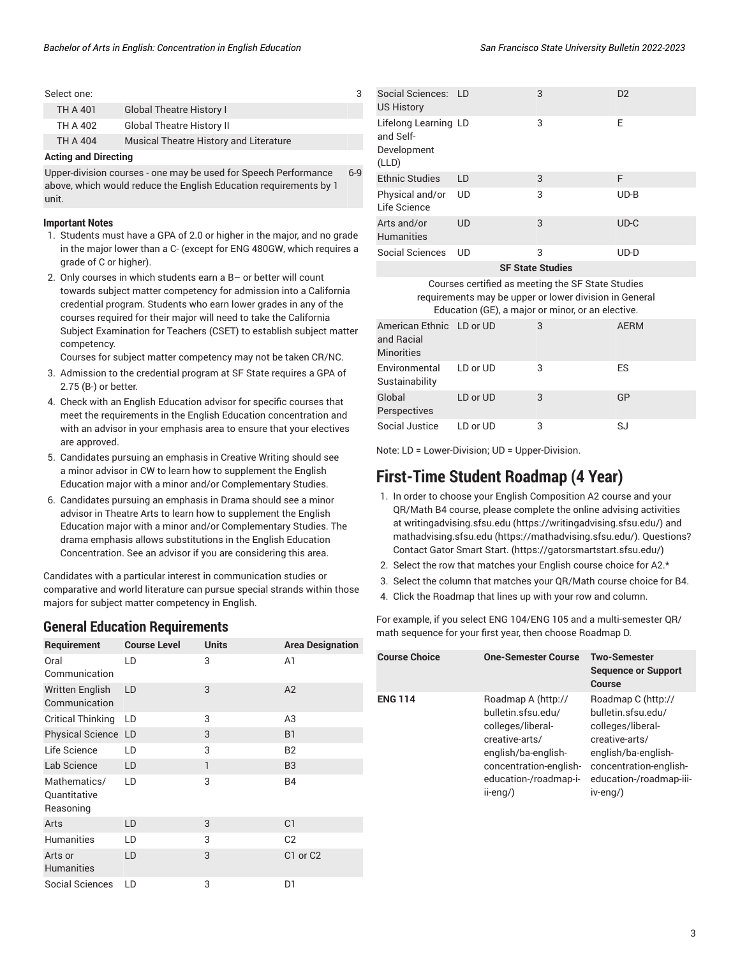| Select one:                 |                                        |  |
|-----------------------------|----------------------------------------|--|
| TH A 401                    | <b>Global Theatre History I</b>        |  |
| TH A 402                    | <b>Global Theatre History II</b>       |  |
| TH A 404                    | Musical Theatre History and Literature |  |
| <b>Acting and Directing</b> |                                        |  |

Upper-division courses - one may be used for Speech Performance above, which would reduce the English Education requirements by 1 unit. 6-9

#### **Important Notes**

- 1. Students must have a GPA of 2.0 or higher in the major, and no grade in the major lower than a C- (except for ENG 480GW, which requires a grade of C or higher).
- 2. Only courses in which students earn a B– or better will count towards subject matter competency for admission into a California credential program. Students who earn lower grades in any of the courses required for their major will need to take the California Subject Examination for Teachers (CSET) to establish subject matter competency.

Courses for subject matter competency may not be taken CR/NC.

- 3. Admission to the credential program at SF State requires a GPA of 2.75 (B-) or better.
- 4. Check with an English Education advisor for specific courses that meet the requirements in the English Education concentration and with an advisor in your emphasis area to ensure that your electives are approved.
- 5. Candidates pursuing an emphasis in Creative Writing should see a minor advisor in CW to learn how to supplement the English Education major with a minor and/or Complementary Studies.
- 6. Candidates pursuing an emphasis in Drama should see a minor advisor in Theatre Arts to learn how to supplement the English Education major with a minor and/or Complementary Studies. The drama emphasis allows substitutions in the English Education Concentration. See an advisor if you are considering this area.

Candidates with a particular interest in communication studies or comparative and world literature can pursue special strands within those majors for subject matter competency in English.

### **General Education Requirements**

| Requirement                               | <b>Course Level</b> | <b>Units</b> | <b>Area Designation</b> |
|-------------------------------------------|---------------------|--------------|-------------------------|
| Oral<br>Communication                     | LD                  | 3            | A1                      |
| <b>Written English</b><br>Communication   | LD                  | 3            | A2                      |
| <b>Critical Thinking</b>                  | LD                  | 3            | A <sub>3</sub>          |
| Physical Science LD                       |                     | 3            | <b>B1</b>               |
| Life Science                              | LD                  | 3            | <b>B2</b>               |
| Lab Science                               | LD                  | 1            | B <sub>3</sub>          |
| Mathematics/<br>Quantitative<br>Reasoning | LD                  | 3            | <b>B4</b>               |
| Arts                                      | LD                  | 3            | C <sub>1</sub>          |
| <b>Humanities</b>                         | LD                  | 3            | C <sub>2</sub>          |
| Arts or<br><b>Humanities</b>              | LD                  | 3            | C1 or C2                |
| Social Sciences                           | LD                  | 3            | D1                      |

|  | San Francisco State University Bulletin 2022-202. |  |  |
|--|---------------------------------------------------|--|--|
|  |                                                   |  |  |

| Social Sciences: LD<br><b>US History</b>                  |           | 3 | D <sub>2</sub> |
|-----------------------------------------------------------|-----------|---|----------------|
| Lifelong Learning LD<br>and Self-<br>Development<br>(LLD) |           | 3 | Е              |
| <b>Ethnic Studies</b>                                     | LD        | 3 | F              |
| Physical and/or<br>Life Science                           | UD        | 3 | $UD-B$         |
| Arts and/or<br><b>Humanities</b>                          | UD        | 3 | $UD-C$         |
| Social Sciences                                           | <b>UD</b> | 3 | UD-D           |

**SF State Studies**

Courses certified as meeting the SF State Studies requirements may be upper or lower division in General Education (GE), a major or minor, or an elective.

| American Ethnic LD or UD<br>and Racial<br><b>Minorities</b> |          | 3 | <b>AERM</b> |
|-------------------------------------------------------------|----------|---|-------------|
| Environmental<br>Sustainability                             | LD or UD | 3 | ES          |
| Global<br>Perspectives                                      | LD or UD | 3 | GP          |
| Social Justice                                              | LD or UD | 3 | SJ          |

Note: LD = Lower-Division; UD = Upper-Division.

### **First-Time Student Roadmap (4 Year)**

- 1. In order to choose your English Composition A2 course and your QR/Math B4 course, please complete the online advising activities at [writingadvising.sfsu.edu \(https://writingadvising.sfsu.edu/](https://writingadvising.sfsu.edu/)) and [mathadvising.sfsu.edu \(https://mathadvising.sfsu.edu/](https://mathadvising.sfsu.edu/)). Questions? Contact Gator [Smart](https://gatorsmartstart.sfsu.edu/) Start. ([https://gatorsmartstart.sfsu.edu/\)](https://gatorsmartstart.sfsu.edu/)
- 2. Select the row that matches your English course choice for A2.\*
- 3. Select the column that matches your QR/Math course choice for B4.
- 4. Click the Roadmap that lines up with your row and column.

For example, if you select ENG 104/ENG 105 and a multi-semester QR/ math sequence for your first year, then choose Roadmap D.

| <b>Course Choice</b> | One-Semester Course                                                                                                                                                      | <b>Two-Semester</b><br><b>Sequence or Support</b><br>Course                                                                                                             |
|----------------------|--------------------------------------------------------------------------------------------------------------------------------------------------------------------------|-------------------------------------------------------------------------------------------------------------------------------------------------------------------------|
| <b>ENG 114</b>       | Roadmap A (http://<br>bulletin.sfsu.edu/<br>colleges/liberal-<br>creative-arts/<br>english/ba-english-<br>concentration-english-<br>education-/roadmap-i-<br>$ii$ -eng/) | Roadmap C (http://<br>bulletin.sfsu.edu/<br>colleges/liberal-<br>creative-arts/<br>english/ba-english-<br>concentration-english-<br>education-/roadmap-iii-<br>iv-eng/) |